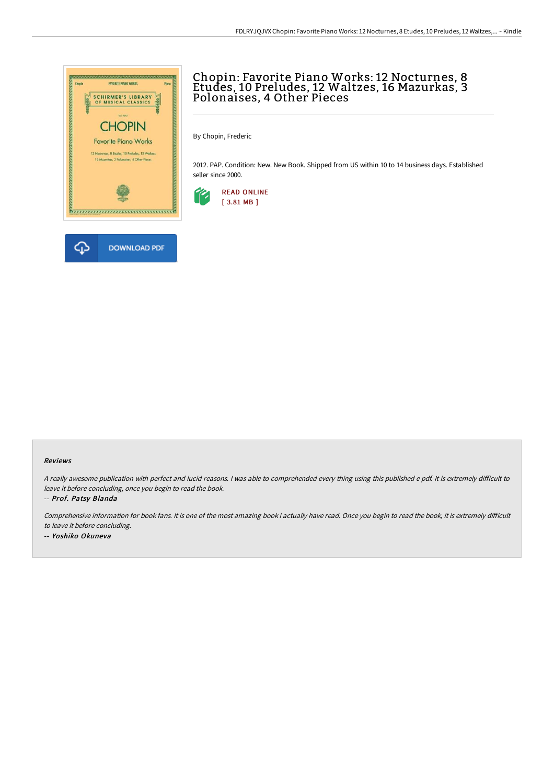

## Chopin: Favorite Piano Works: 12 Nocturnes, 8 Etudes, 10 Preludes, 12 Waltzes, 16 Mazurkas, 3 Polonaises, 4 Other Pieces

By Chopin, Frederic

2012. PAP. Condition: New. New Book. Shipped from US within 10 to 14 business days. Established seller since 2000.



## Reviews

A really awesome publication with perfect and lucid reasons. I was able to comprehended every thing using this published e pdf. It is extremely difficult to leave it before concluding, once you begin to read the book.

-- Prof. Patsy Blanda

Comprehensive information for book fans. It is one of the most amazing book i actually have read. Once you begin to read the book, it is extremely difficult to leave it before concluding.

-- Yoshiko Okuneva